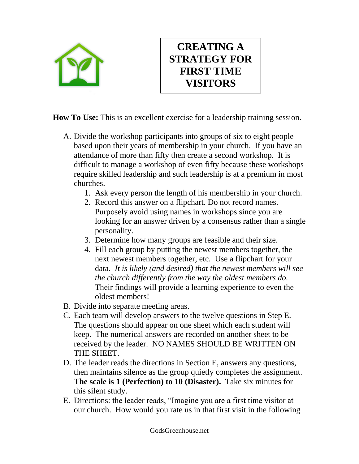

## **CREATING A STRATEGY FOR FIRST TIME VISITORS**

**How To Use:** This is an excellent exercise for a leadership training session.

- A. Divide the workshop participants into groups of six to eight people based upon their years of membership in your church. If you have an attendance of more than fifty then create a second workshop. It is difficult to manage a workshop of even fifty because these workshops require skilled leadership and such leadership is at a premium in most churches.
	- 1. Ask every person the length of his membership in your church.
	- 2. Record this answer on a flipchart. Do not record names. Purposely avoid using names in workshops since you are looking for an answer driven by a consensus rather than a single personality.
	- 3. Determine how many groups are feasible and their size.
	- 4. Fill each group by putting the newest members together, the next newest members together, etc. Use a flipchart for your data. *It is likely (and desired) that the newest members will see the church differently from the way the oldest members do.* Their findings will provide a learning experience to even the oldest members!
- B. Divide into separate meeting areas.
- C. Each team will develop answers to the twelve questions in Step E. The questions should appear on one sheet which each student will keep. The numerical answers are recorded on another sheet to be received by the leader. NO NAMES SHOULD BE WRITTEN ON THE SHEET.
- D. The leader reads the directions in Section E, answers any questions, then maintains silence as the group quietly completes the assignment. **The scale is 1 (Perfection) to 10 (Disaster).** Take six minutes for this silent study.
- E. Directions: the leader reads, "Imagine you are a first time visitor at our church. How would you rate us in that first visit in the following